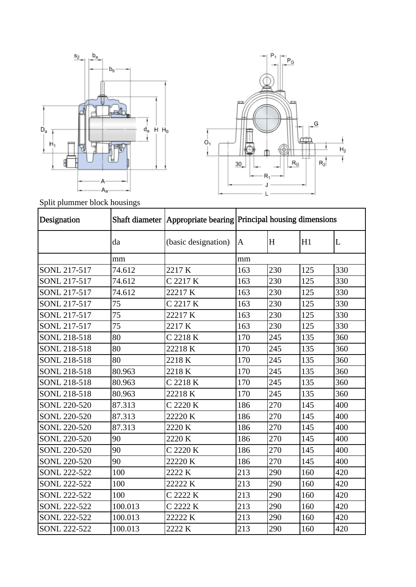



Split plummer block housings

| Designation         |         |                     | Shaft diameter   Appropriate bearing   Principal housing dimensions |     |     |     |  |
|---------------------|---------|---------------------|---------------------------------------------------------------------|-----|-----|-----|--|
|                     | da      | (basic designation) | $\mathbf{A}$                                                        | H   | H1  | L   |  |
|                     | mm      |                     | mm                                                                  |     |     |     |  |
| SONL 217-517        | 74.612  | 2217K               | 163                                                                 | 230 | 125 | 330 |  |
| SONL 217-517        | 74.612  | C 2217 K            | 163                                                                 | 230 | 125 | 330 |  |
| SONL 217-517        | 74.612  | 22217K              | 163                                                                 | 230 | 125 | 330 |  |
| SONL 217-517        | 75      | C 2217 K            | 163                                                                 | 230 | 125 | 330 |  |
| SONL 217-517        | 75      | 22217 K             | 163                                                                 | 230 | 125 | 330 |  |
| SONL 217-517        | 75      | 2217 K              | 163                                                                 | 230 | 125 | 330 |  |
| SONL 218-518        | 80      | C 2218 K            | 170                                                                 | 245 | 135 | 360 |  |
| SONL 218-518        | 80      | 22218K              | 170                                                                 | 245 | 135 | 360 |  |
| SONL 218-518        | 80      | 2218K               | 170                                                                 | 245 | 135 | 360 |  |
| SONL 218-518        | 80.963  | 2218K               | 170                                                                 | 245 | 135 | 360 |  |
| SONL 218-518        | 80.963  | C 2218 K            | 170                                                                 | 245 | 135 | 360 |  |
| SONL 218-518        | 80.963  | 22218K              | 170                                                                 | 245 | 135 | 360 |  |
| SONL 220-520        | 87.313  | C 2220 K            | 186                                                                 | 270 | 145 | 400 |  |
| SONL 220-520        | 87.313  | 22220 K             | 186                                                                 | 270 | 145 | 400 |  |
| SONL 220-520        | 87.313  | 2220 K              | 186                                                                 | 270 | 145 | 400 |  |
| SONL 220-520        | 90      | 2220 K              | 186                                                                 | 270 | 145 | 400 |  |
| <b>SONL 220-520</b> | 90      | C 2220 K            | 186                                                                 | 270 | 145 | 400 |  |
| SONL 220-520        | 90      | 22220 K             | 186                                                                 | 270 | 145 | 400 |  |
| <b>SONL 222-522</b> | 100     | 2222 K              | 213                                                                 | 290 | 160 | 420 |  |
| SONL 222-522        | 100     | 22222 K             | 213                                                                 | 290 | 160 | 420 |  |
| SONL 222-522        | 100     | C 2222 K            | 213                                                                 | 290 | 160 | 420 |  |
| SONL 222-522        | 100.013 | C 2222 K            | 213                                                                 | 290 | 160 | 420 |  |
| SONL 222-522        | 100.013 | 22222 K             | 213                                                                 | 290 | 160 | 420 |  |
| SONL 222-522        | 100.013 | 2222 K              | 213                                                                 | 290 | 160 | 420 |  |